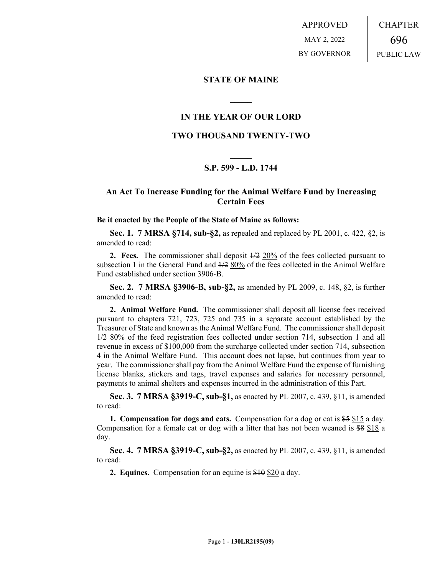APPROVED MAY 2, 2022 BY GOVERNOR CHAPTER 696 PUBLIC LAW

#### **STATE OF MAINE**

## **IN THE YEAR OF OUR LORD**

**\_\_\_\_\_**

## **TWO THOUSAND TWENTY-TWO**

# **\_\_\_\_\_ S.P. 599 - L.D. 1744**

# **An Act To Increase Funding for the Animal Welfare Fund by Increasing Certain Fees**

#### **Be it enacted by the People of the State of Maine as follows:**

**Sec. 1. 7 MRSA §714, sub-§2,** as repealed and replaced by PL 2001, c. 422, §2, is amended to read:

**2. Fees.** The commissioner shall deposit 1/2 20% of the fees collected pursuant to subsection 1 in the General Fund and  $\frac{1}{2}$  80% of the fees collected in the Animal Welfare Fund established under section 3906‑B.

**Sec. 2. 7 MRSA §3906-B, sub-§2,** as amended by PL 2009, c. 148, §2, is further amended to read:

**2. Animal Welfare Fund.** The commissioner shall deposit all license fees received pursuant to chapters 721, 723, 725 and 735 in a separate account established by the Treasurer of State and known as the Animal Welfare Fund. The commissioner shall deposit 1/2 80% of the feed registration fees collected under section 714, subsection 1 and all revenue in excess of \$100,000 from the surcharge collected under section 714, subsection 4 in the Animal Welfare Fund. This account does not lapse, but continues from year to year. The commissioner shall pay from the Animal Welfare Fund the expense of furnishing license blanks, stickers and tags, travel expenses and salaries for necessary personnel, payments to animal shelters and expenses incurred in the administration of this Part.

**Sec. 3. 7 MRSA §3919-C, sub-§1,** as enacted by PL 2007, c. 439, §11, is amended to read:

**1. Compensation for dogs and cats.** Compensation for a dog or cat is \$5 \$15 a day. Compensation for a female cat or dog with a litter that has not been weaned is \$8 \$18 a day.

**Sec. 4. 7 MRSA §3919-C, sub-§2,** as enacted by PL 2007, c. 439, §11, is amended to read:

**2. Equines.** Compensation for an equine is \$10 \$20 a day.